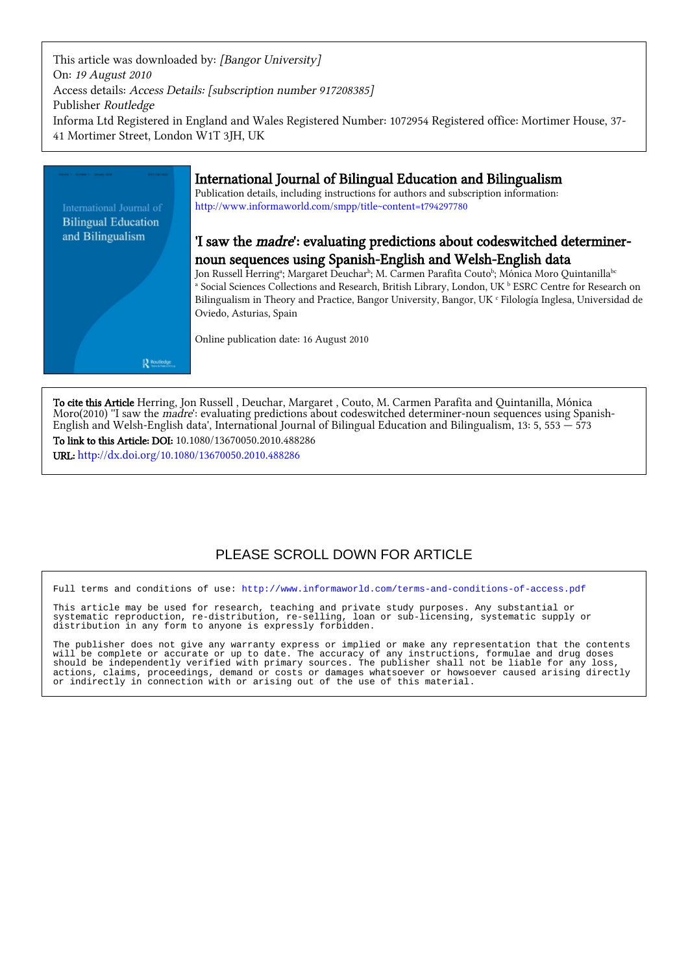This article was downloaded by: [Bangor University] On: 19 August 2010 Access details: Access Details: [subscription number 917208385] Publisher Routledge Informa Ltd Registered in England and Wales Registered Number: 1072954 Registered office: Mortimer House, 37- 41 Mortimer Street, London W1T 3JH, UK



To cite this Article Herring, Jon Russell , Deuchar, Margaret , Couto, M. Carmen Parafita and Quintanilla, Mónica Moro(2010) ''I saw the *madre*': evaluating predictions about codeswitched determiner-noun sequences using Spanish-English and Welsh-English data', International Journal of Bilingual Education and Bilingualism, 13: 5, 553  $-$  573

To link to this Article: DOI: 10.1080/13670050.2010.488286 URL: <http://dx.doi.org/10.1080/13670050.2010.488286>

# PLEASE SCROLL DOWN FOR ARTICLE

Full terms and conditions of use:<http://www.informaworld.com/terms-and-conditions-of-access.pdf>

This article may be used for research, teaching and private study purposes. Any substantial or systematic reproduction, re-distribution, re-selling, loan or sub-licensing, systematic supply or distribution in any form to anyone is expressly forbidden.

The publisher does not give any warranty express or implied or make any representation that the contents will be complete or accurate or up to date. The accuracy of any instructions, formulae and drug doses should be independently verified with primary sources. The publisher shall not be liable for any loss, actions, claims, proceedings, demand or costs or damages whatsoever or howsoever caused arising directly or indirectly in connection with or arising out of the use of this material.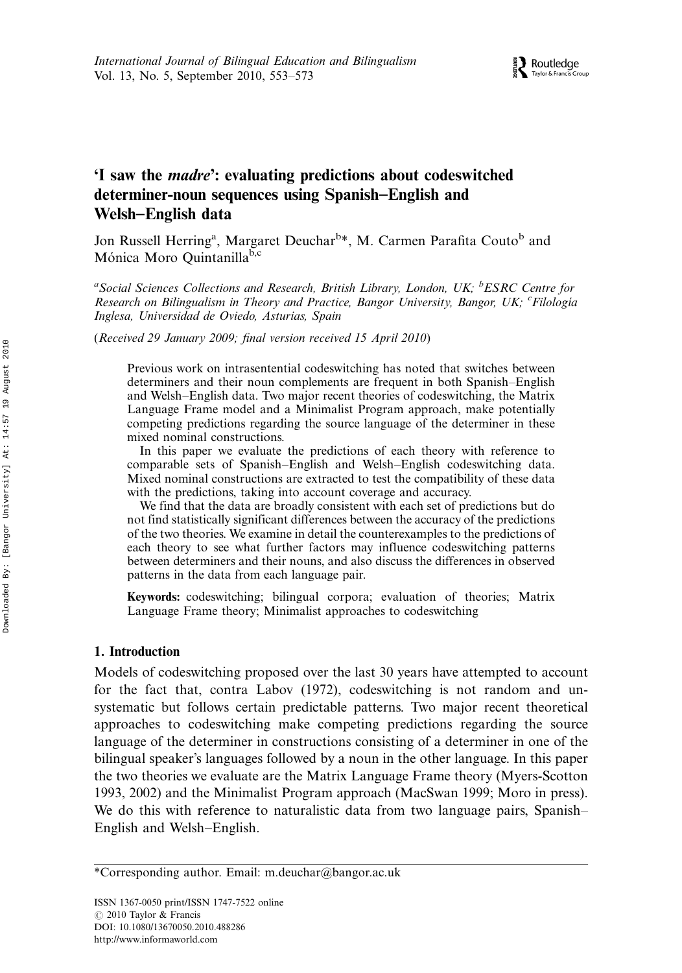# 'I saw the madre': evaluating predictions about codeswitched determiner-noun sequences using Spanish-English and Welsh-English data

Jon Russell Herring<sup>a</sup>, Margaret Deuchar<sup>b\*</sup>, M. Carmen Parafita Couto<sup>b</sup> and Mónica Moro Quintanilla<sup>b,c</sup>

<sup>a</sup> Social Sciences Collections and Research, British Library, London, UK; <sup>b</sup>ESRC Centre for Research on Bilingualism in Theory and Practice, Bangor University, Bangor, UK; <sup>c</sup>Filología Inglesa, Universidad de Oviedo, Asturias, Spain

(Received 29 January 2009; final version received 15 April 2010)

Previous work on intrasentential codeswitching has noted that switches between determiners and their noun complements are frequent in both Spanish-English and Welsh-English data. Two major recent theories of codeswitching, the Matrix Language Frame model and a Minimalist Program approach, make potentially competing predictions regarding the source language of the determiner in these mixed nominal constructions.

In this paper we evaluate the predictions of each theory with reference to comparable sets of Spanish-English and Welsh-English codeswitching data. Mixed nominal constructions are extracted to test the compatibility of these data with the predictions, taking into account coverage and accuracy.

We find that the data are broadly consistent with each set of predictions but do not find statistically significant differences between the accuracy of the predictions of the two theories. We examine in detail the counterexamples to the predictions of each theory to see what further factors may influence codeswitching patterns between determiners and their nouns, and also discuss the differences in observed patterns in the data from each language pair.

Keywords: codeswitching; bilingual corpora; evaluation of theories; Matrix Language Frame theory; Minimalist approaches to codeswitching

# 1. Introduction

Models of codeswitching proposed over the last 30 years have attempted to account for the fact that, contra Labov (1972), codeswitching is not random and unsystematic but follows certain predictable patterns. Two major recent theoretical approaches to codeswitching make competing predictions regarding the source language of the determiner in constructions consisting of a determiner in one of the bilingual speaker's languages followed by a noun in the other language. In this paper the two theories we evaluate are the Matrix Language Frame theory (Myers-Scotton 1993, 2002) and the Minimalist Program approach (MacSwan 1999; Moro in press). We do this with reference to naturalistic data from two language pairs, Spanish-English and Welsh-English.

<sup>\*</sup>Corresponding author. Email: m.deuchar@bangor.ac.uk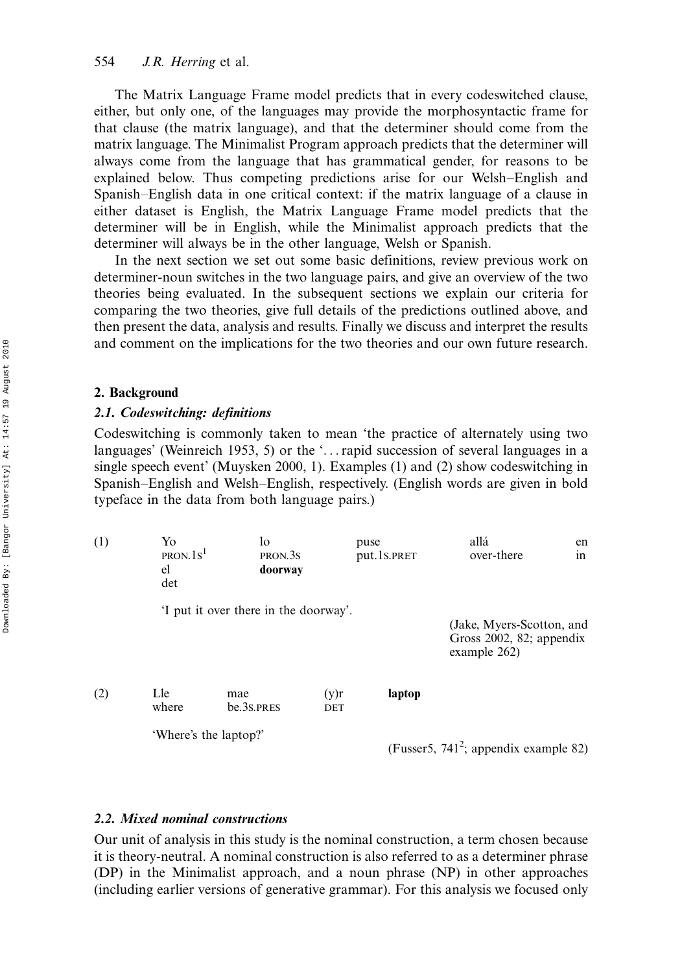The Matrix Language Frame model predicts that in every codeswitched clause, either, but only one, of the languages may provide the morphosyntactic frame for that clause (the matrix language), and that the determiner should come from the matrix language. The Minimalist Program approach predicts that the determiner will always come from the language that has grammatical gender, for reasons to be explained below. Thus competing predictions arise for our Welsh-English and Spanish-English data in one critical context: if the matrix language of a clause in either dataset is English, the Matrix Language Frame model predicts that the determiner will be in English, while the Minimalist approach predicts that the determiner will always be in the other language, Welsh or Spanish.

In the next section we set out some basic definitions, review previous work on determiner-noun switches in the two language pairs, and give an overview of the two theories being evaluated. In the subsequent sections we explain our criteria for comparing the two theories, give full details of the predictions outlined above, and then present the data, analysis and results. Finally we discuss and interpret the results and comment on the implications for the two theories and our own future research.

### 2. Background

#### 2.1. Codeswitching: definitions

Codeswitching is commonly taken to mean 'the practice of alternately using two languages' (Weinreich 1953, 5) or the '...rapid succession of several languages in a single speech event' (Muysken 2000, 1). Examples (1) and (2) show codeswitching in Spanish-English and Welsh-English, respectively. (English words are given in bold typeface in the data from both language pairs.)

| (1) | Yo<br>PRON.1s <sup>1</sup><br>el<br>det | lo<br>PRON.3S<br>doorway             | puse        | put.1s.PRET | allá<br>over-there                                                       | en<br>in |
|-----|-----------------------------------------|--------------------------------------|-------------|-------------|--------------------------------------------------------------------------|----------|
|     |                                         | I put it over there in the doorway'. |             |             | (Jake, Myers-Scotton, and<br>Gross $2002$ , 82; appendix<br>example 262) |          |
| (2) | Lle<br>where                            | mae<br>be 3s PRES                    | (y)r<br>DET | laptop      |                                                                          |          |
|     | 'Where's the laptop?'                   |                                      |             |             | (Fusser5, 741 <sup>2</sup> ; appendix example 82)                        |          |

# 2.2. Mixed nominal constructions

Our unit of analysis in this study is the nominal construction, a term chosen because it is theory-neutral. A nominal construction is also referred to as a determiner phrase (DP) in the Minimalist approach, and a noun phrase (NP) in other approaches (including earlier versions of generative grammar). For this analysis we focused only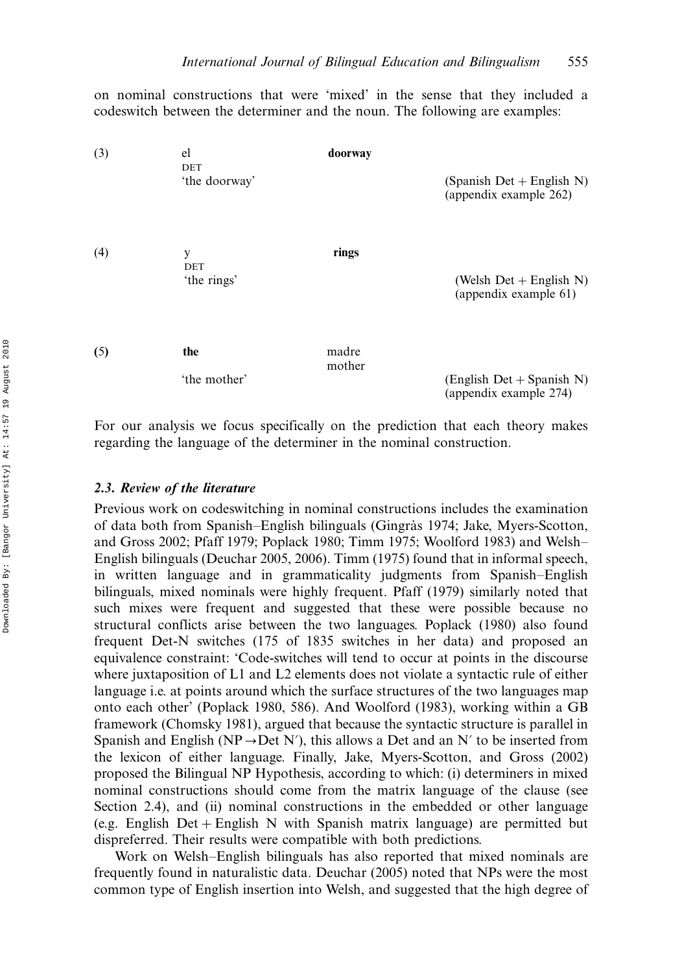on nominal constructions that were 'mixed' in the sense that they included a codeswitch between the determiner and the noun. The following are examples:

| (3) | el<br>DET<br>'the doorway'     | doorway         | (Spanish Det + English N)<br>(appendix example 262)   |
|-----|--------------------------------|-----------------|-------------------------------------------------------|
| (4) | У<br><b>DET</b><br>'the rings' | rings           | (Welsh $Det + English N$ )<br>(appendix example 61)   |
| (5) | the<br>'the mother'            | madre<br>mother | $(English Det + Spanish N)$<br>(appendix example 274) |

For our analysis we focus specifically on the prediction that each theory makes regarding the language of the determiner in the nominal construction.

# 2.3. Review of the literature

Previous work on codeswitching in nominal constructions includes the examination of data both from Spanish-English bilinguals (Gingràs 1974; Jake, Myers-Scotton, and Gross 2002; Pfaff 1979; Poplack 1980; Timm 1975; Woolford 1983) and Welsh English bilinguals (Deuchar 2005, 2006). Timm (1975) found that in informal speech, in written language and in grammaticality judgments from Spanish–English bilinguals, mixed nominals were highly frequent. Pfaff (1979) similarly noted that such mixes were frequent and suggested that these were possible because no structural conflicts arise between the two languages. Poplack (1980) also found frequent Det-N switches (175 of 1835 switches in her data) and proposed an equivalence constraint: 'Code-switches will tend to occur at points in the discourse where juxtaposition of L1 and L2 elements does not violate a syntactic rule of either language i.e. at points around which the surface structures of the two languages map onto each other' (Poplack 1980, 586). And Woolford (1983), working within a GB framework (Chomsky 1981), argued that because the syntactic structure is parallel in Spanish and English (NP $\rightarrow$ Det N'), this allows a Det and an N' to be inserted from the lexicon of either language. Finally, Jake, Myers-Scotton, and Gross (2002) proposed the Bilingual NP Hypothesis, according to which: (i) determiners in mixed nominal constructions should come from the matrix language of the clause (see Section 2.4), and (ii) nominal constructions in the embedded or other language (e.g. English Det-English N with Spanish matrix language) are permitted but dispreferred. Their results were compatible with both predictions.

Work on Welsh-English bilinguals has also reported that mixed nominals are frequently found in naturalistic data. Deuchar (2005) noted that NPs were the most common type of English insertion into Welsh, and suggested that the high degree of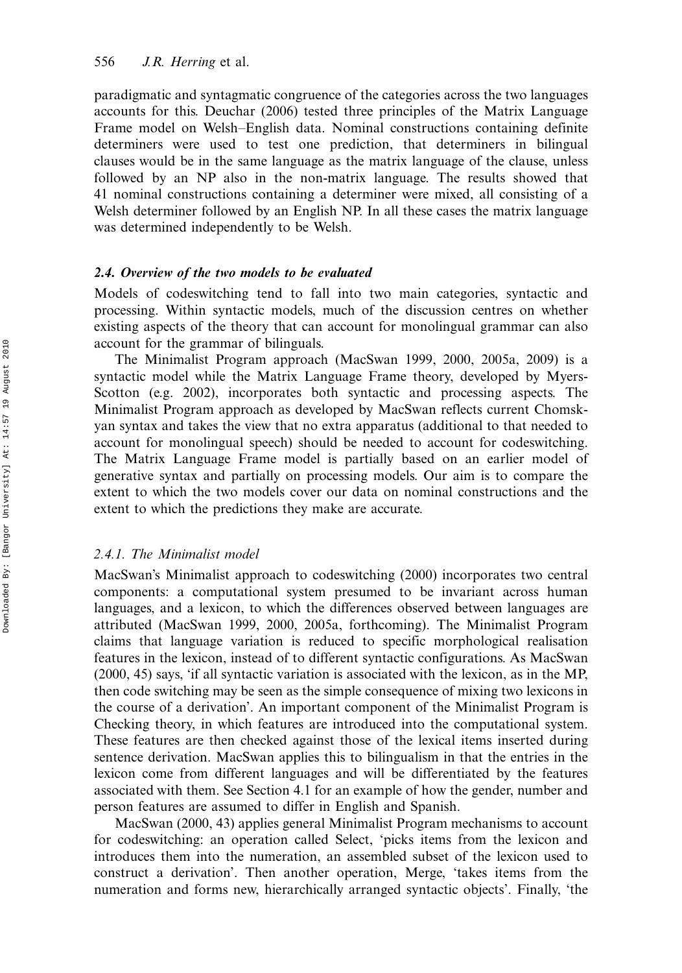paradigmatic and syntagmatic congruence of the categories across the two languages accounts for this. Deuchar (2006) tested three principles of the Matrix Language Frame model on Welsh-English data. Nominal constructions containing definite determiners were used to test one prediction, that determiners in bilingual clauses would be in the same language as the matrix language of the clause, unless followed by an NP also in the non-matrix language. The results showed that 41 nominal constructions containing a determiner were mixed, all consisting of a Welsh determiner followed by an English NP. In all these cases the matrix language was determined independently to be Welsh.

# 2.4. Overview of the two models to be evaluated

Models of codeswitching tend to fall into two main categories, syntactic and processing. Within syntactic models, much of the discussion centres on whether existing aspects of the theory that can account for monolingual grammar can also account for the grammar of bilinguals.

The Minimalist Program approach (MacSwan 1999, 2000, 2005a, 2009) is a syntactic model while the Matrix Language Frame theory, developed by Myers-Scotton (e.g. 2002), incorporates both syntactic and processing aspects. The Minimalist Program approach as developed by MacSwan reflects current Chomskyan syntax and takes the view that no extra apparatus (additional to that needed to account for monolingual speech) should be needed to account for codeswitching. The Matrix Language Frame model is partially based on an earlier model of generative syntax and partially on processing models. Our aim is to compare the extent to which the two models cover our data on nominal constructions and the extent to which the predictions they make are accurate.

## 2.4.1. The Minimalist model

MacSwan's Minimalist approach to codeswitching (2000) incorporates two central components: a computational system presumed to be invariant across human languages, and a lexicon, to which the differences observed between languages are attributed (MacSwan 1999, 2000, 2005a, forthcoming). The Minimalist Program claims that language variation is reduced to specific morphological realisation features in the lexicon, instead of to different syntactic configurations. As MacSwan (2000, 45) says, 'if all syntactic variation is associated with the lexicon, as in the MP, then code switching may be seen as the simple consequence of mixing two lexicons in the course of a derivation'. An important component of the Minimalist Program is Checking theory, in which features are introduced into the computational system. These features are then checked against those of the lexical items inserted during sentence derivation. MacSwan applies this to bilingualism in that the entries in the lexicon come from different languages and will be differentiated by the features associated with them. See Section 4.1 for an example of how the gender, number and person features are assumed to differ in English and Spanish.

MacSwan (2000, 43) applies general Minimalist Program mechanisms to account for codeswitching: an operation called Select, 'picks items from the lexicon and introduces them into the numeration, an assembled subset of the lexicon used to construct a derivation'. Then another operation, Merge, 'takes items from the numeration and forms new, hierarchically arranged syntactic objects'. Finally, 'the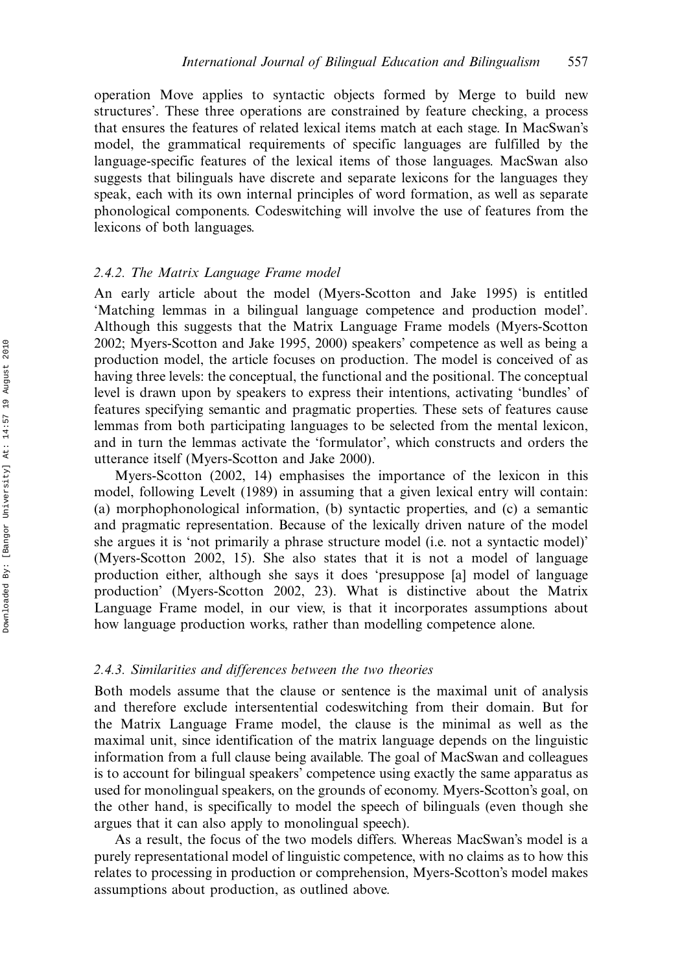operation Move applies to syntactic objects formed by Merge to build new structures'. These three operations are constrained by feature checking, a process that ensures the features of related lexical items match at each stage. In MacSwan's model, the grammatical requirements of specific languages are fulfilled by the language-specific features of the lexical items of those languages. MacSwan also suggests that bilinguals have discrete and separate lexicons for the languages they speak, each with its own internal principles of word formation, as well as separate phonological components. Codeswitching will involve the use of features from the lexicons of both languages.

## 2.4.2. The Matrix Language Frame model

An early article about the model (Myers-Scotton and Jake 1995) is entitled 'Matching lemmas in a bilingual language competence and production model'. Although this suggests that the Matrix Language Frame models (Myers-Scotton 2002; Myers-Scotton and Jake 1995, 2000) speakers' competence as well as being a production model, the article focuses on production. The model is conceived of as having three levels: the conceptual, the functional and the positional. The conceptual level is drawn upon by speakers to express their intentions, activating 'bundles' of features specifying semantic and pragmatic properties. These sets of features cause lemmas from both participating languages to be selected from the mental lexicon, and in turn the lemmas activate the 'formulator', which constructs and orders the utterance itself (Myers-Scotton and Jake 2000).

Myers-Scotton (2002, 14) emphasises the importance of the lexicon in this model, following Levelt (1989) in assuming that a given lexical entry will contain: (a) morphophonological information, (b) syntactic properties, and (c) a semantic and pragmatic representation. Because of the lexically driven nature of the model she argues it is 'not primarily a phrase structure model (i.e. not a syntactic model)' (Myers-Scotton 2002, 15). She also states that it is not a model of language production either, although she says it does 'presuppose [a] model of language production' (Myers-Scotton 2002, 23). What is distinctive about the Matrix Language Frame model, in our view, is that it incorporates assumptions about how language production works, rather than modelling competence alone.

## 2.4.3. Similarities and differences between the two theories

Both models assume that the clause or sentence is the maximal unit of analysis and therefore exclude intersentential codeswitching from their domain. But for the Matrix Language Frame model, the clause is the minimal as well as the maximal unit, since identification of the matrix language depends on the linguistic information from a full clause being available. The goal of MacSwan and colleagues is to account for bilingual speakers' competence using exactly the same apparatus as used for monolingual speakers, on the grounds of economy. Myers-Scotton's goal, on the other hand, is specifically to model the speech of bilinguals (even though she argues that it can also apply to monolingual speech).

As a result, the focus of the two models differs. Whereas MacSwan's model is a purely representational model of linguistic competence, with no claims as to how this relates to processing in production or comprehension, Myers-Scotton's model makes assumptions about production, as outlined above.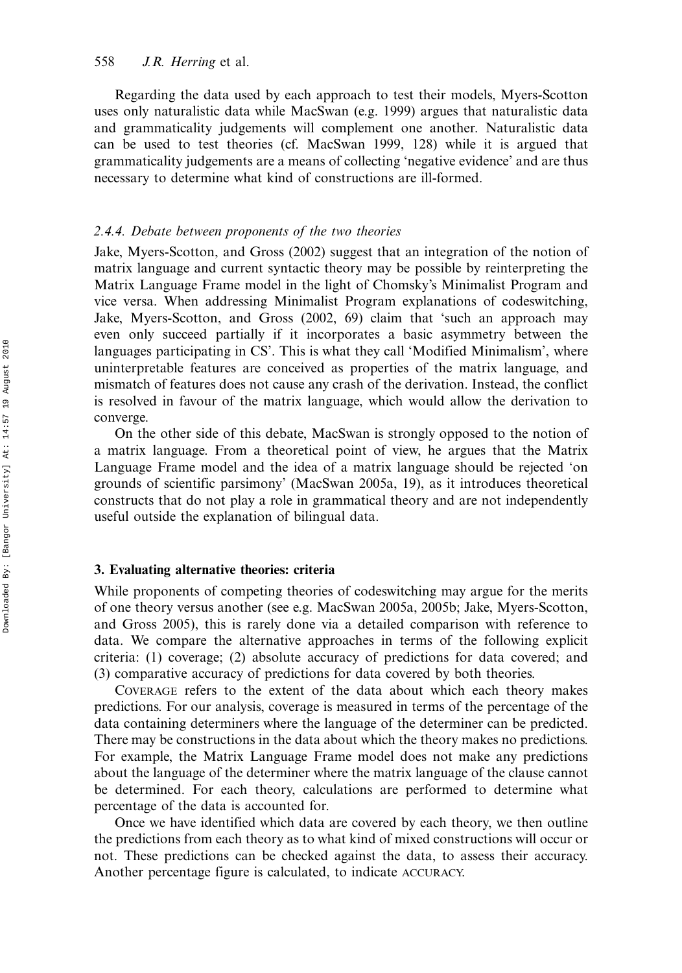Regarding the data used by each approach to test their models, Myers-Scotton uses only naturalistic data while MacSwan (e.g. 1999) argues that naturalistic data and grammaticality judgements will complement one another. Naturalistic data can be used to test theories (cf. MacSwan 1999, 128) while it is argued that grammaticality judgements are a means of collecting 'negative evidence' and are thus necessary to determine what kind of constructions are ill-formed.

#### 2.4.4. Debate between proponents of the two theories

Jake, Myers-Scotton, and Gross (2002) suggest that an integration of the notion of matrix language and current syntactic theory may be possible by reinterpreting the Matrix Language Frame model in the light of Chomsky's Minimalist Program and vice versa. When addressing Minimalist Program explanations of codeswitching, Jake, Myers-Scotton, and Gross (2002, 69) claim that 'such an approach may even only succeed partially if it incorporates a basic asymmetry between the languages participating in CS'. This is what they call 'Modified Minimalism', where uninterpretable features are conceived as properties of the matrix language, and mismatch of features does not cause any crash of the derivation. Instead, the conflict is resolved in favour of the matrix language, which would allow the derivation to converge.

On the other side of this debate, MacSwan is strongly opposed to the notion of a matrix language. From a theoretical point of view, he argues that the Matrix Language Frame model and the idea of a matrix language should be rejected 'on grounds of scientific parsimony' (MacSwan 2005a, 19), as it introduces theoretical constructs that do not play a role in grammatical theory and are not independently useful outside the explanation of bilingual data.

## 3. Evaluating alternative theories: criteria

While proponents of competing theories of codeswitching may argue for the merits of one theory versus another (see e.g. MacSwan 2005a, 2005b; Jake, Myers-Scotton, and Gross 2005), this is rarely done via a detailed comparison with reference to data. We compare the alternative approaches in terms of the following explicit criteria: (1) coverage; (2) absolute accuracy of predictions for data covered; and (3) comparative accuracy of predictions for data covered by both theories.

COVERAGE refers to the extent of the data about which each theory makes predictions. For our analysis, coverage is measured in terms of the percentage of the data containing determiners where the language of the determiner can be predicted. There may be constructions in the data about which the theory makes no predictions. For example, the Matrix Language Frame model does not make any predictions about the language of the determiner where the matrix language of the clause cannot be determined. For each theory, calculations are performed to determine what percentage of the data is accounted for.

Once we have identified which data are covered by each theory, we then outline the predictions from each theory as to what kind of mixed constructions will occur or not. These predictions can be checked against the data, to assess their accuracy. Another percentage figure is calculated, to indicate ACCURACY.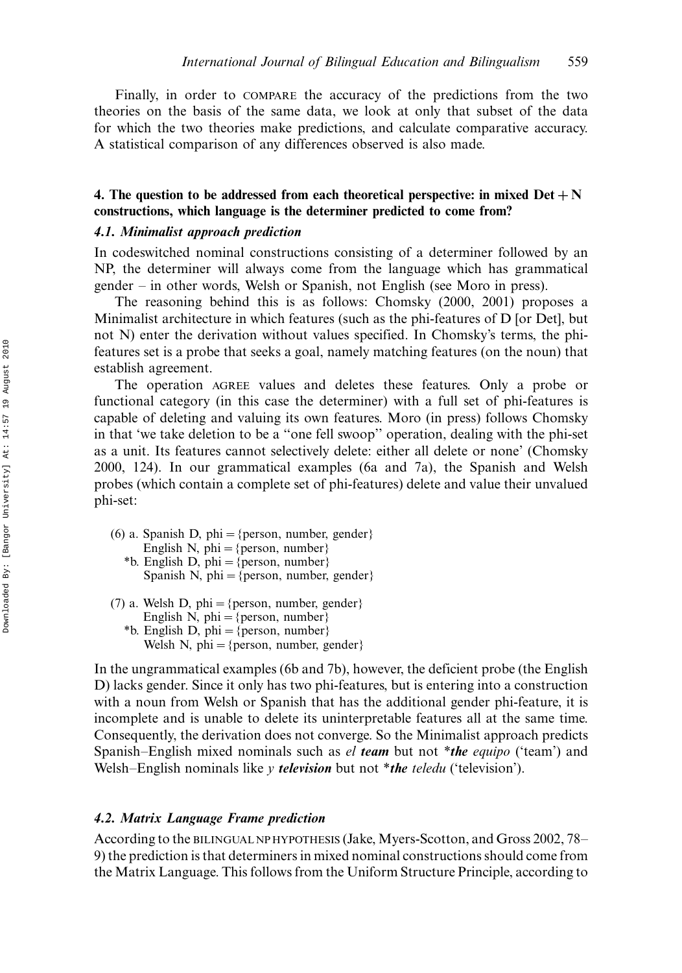Finally, in order to COMPARE the accuracy of the predictions from the two theories on the basis of the same data, we look at only that subset of the data for which the two theories make predictions, and calculate comparative accuracy. A statistical comparison of any differences observed is also made.

# 4. The question to be addressed from each theoretical perspective: in mixed  $Det +N$ constructions, which language is the determiner predicted to come from?

# 4.1. Minimalist approach prediction

In codeswitched nominal constructions consisting of a determiner followed by an NP, the determiner will always come from the language which has grammatical gender – in other words, Welsh or Spanish, not English (see Moro in press).

The reasoning behind this is as follows: Chomsky (2000, 2001) proposes a Minimalist architecture in which features (such as the phi-features of D [or Det], but not N) enter the derivation without values specified. In Chomsky's terms, the phifeatures set is a probe that seeks a goal, namely matching features (on the noun) that establish agreement.

The operation AGREE values and deletes these features. Only a probe or functional category (in this case the determiner) with a full set of phi-features is capable of deleting and valuing its own features. Moro (in press) follows Chomsky in that 'we take deletion to be a ''one fell swoop'' operation, dealing with the phi-set as a unit. Its features cannot selectively delete: either all delete or none' (Chomsky 2000, 124). In our grammatical examples (6a and 7a), the Spanish and Welsh probes (which contain a complete set of phi-features) delete and value their unvalued phi-set:

- (6) a. Spanish D, phi = {person, number, gender} English N, phi = {person, number} \*b. English D, phi = {person, number} Spanish N, phi = {person, number, gender}
- (7) a. Welsh D, phi = {person, number, gender} English N, phi = {person, number} \*b. English D, phi = {person, number} Welsh N, phi = {person, number, gender}

In the ungrammatical examples (6b and 7b), however, the deficient probe (the English D) lacks gender. Since it only has two phi-features, but is entering into a construction with a noun from Welsh or Spanish that has the additional gender phi-feature, it is incomplete and is unable to delete its uninterpretable features all at the same time. Consequently, the derivation does not converge. So the Minimalist approach predicts Spanish-English mixed nominals such as el team but not \*the equipo ('team') and Welsh-English nominals like y *television* but not \**the teledu* ('television').

#### 4.2. Matrix Language Frame prediction

According to the BILINGUAL NP HYPOTHESIS (Jake, Myers-Scotton, and Gross 2002, 78 9) the prediction is that determiners in mixed nominal constructions should come from the Matrix Language. This follows from the Uniform Structure Principle, according to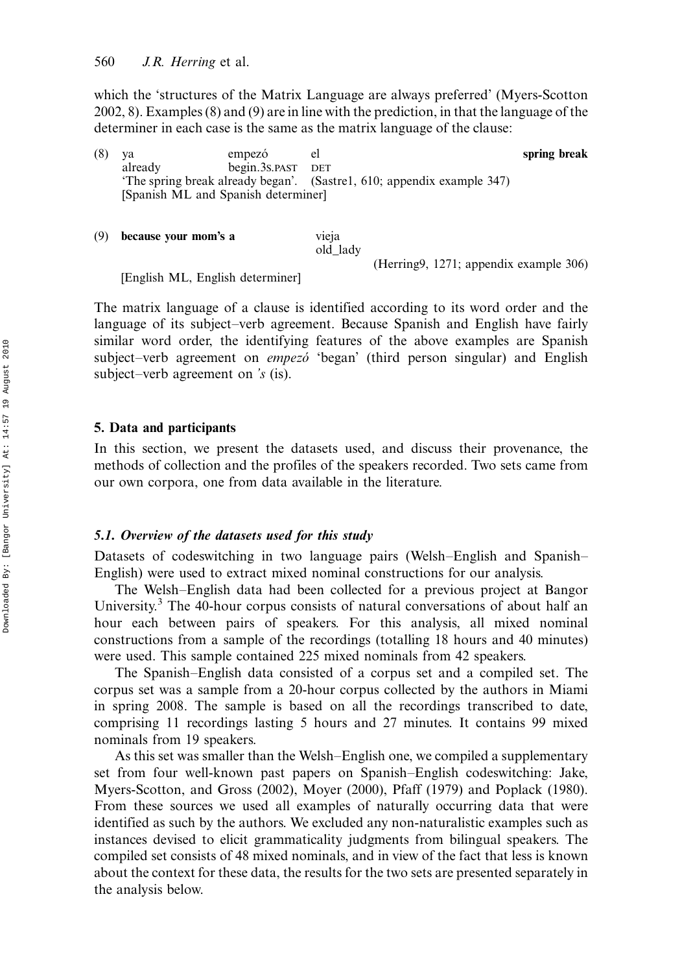which the 'structures of the Matrix Language are always preferred' (Myers-Scotton 2002, 8). Examples (8) and (9) are in line with the prediction, in that the language of the determiner in each case is the same as the matrix language of the clause:

- (8) ya empezó el spring break already begin.3S.PAST DET 'The spring break already began'. (Sastre1, 610; appendix example 347) [Spanish ML and Spanish determiner]
- (9) because your mom's a vieja old\_lady (Herring9, 1271; appendix example 306)

[English ML, English determiner]

The matrix language of a clause is identified according to its word order and the language of its subject-verb agreement. Because Spanish and English have fairly similar word order, the identifying features of the above examples are Spanish subject–verb agreement on *empezo* 'began' (third person singular) and English subject–verb agreement on 's (is).

### 5. Data and participants

In this section, we present the datasets used, and discuss their provenance, the methods of collection and the profiles of the speakers recorded. Two sets came from our own corpora, one from data available in the literature.

# 5.1. Overview of the datasets used for this study

Datasets of codeswitching in two language pairs (Welsh-English and Spanish-English) were used to extract mixed nominal constructions for our analysis.

The Welsh-English data had been collected for a previous project at Bangor University.<sup>3</sup> The 40-hour corpus consists of natural conversations of about half an hour each between pairs of speakers. For this analysis, all mixed nominal constructions from a sample of the recordings (totalling 18 hours and 40 minutes) were used. This sample contained 225 mixed nominals from 42 speakers.

The Spanish–English data consisted of a corpus set and a compiled set. The corpus set was a sample from a 20-hour corpus collected by the authors in Miami in spring 2008. The sample is based on all the recordings transcribed to date, comprising 11 recordings lasting 5 hours and 27 minutes. It contains 99 mixed nominals from 19 speakers.

As this set was smaller than the Welsh-English one, we compiled a supplementary set from four well-known past papers on Spanish–English codeswitching: Jake, Myers-Scotton, and Gross (2002), Moyer (2000), Pfaff (1979) and Poplack (1980). From these sources we used all examples of naturally occurring data that were identified as such by the authors. We excluded any non-naturalistic examples such as instances devised to elicit grammaticality judgments from bilingual speakers. The compiled set consists of 48 mixed nominals, and in view of the fact that less is known about the context for these data, the results for the two sets are presented separately in the analysis below.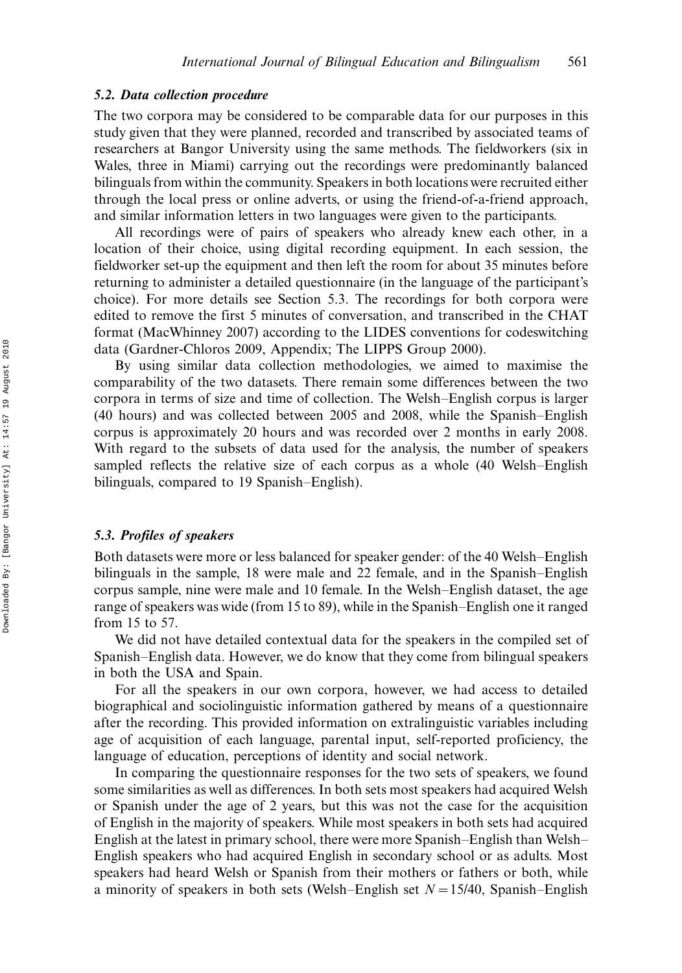### 5.2. Data collection procedure

The two corpora may be considered to be comparable data for our purposes in this study given that they were planned, recorded and transcribed by associated teams of researchers at Bangor University using the same methods. The fieldworkers (six in Wales, three in Miami) carrying out the recordings were predominantly balanced bilinguals from within the community. Speakers in both locations were recruited either through the local press or online adverts, or using the friend-of-a-friend approach, and similar information letters in two languages were given to the participants.

All recordings were of pairs of speakers who already knew each other, in a location of their choice, using digital recording equipment. In each session, the fieldworker set-up the equipment and then left the room for about 35 minutes before returning to administer a detailed questionnaire (in the language of the participant's choice). For more details see Section 5.3. The recordings for both corpora were edited to remove the first 5 minutes of conversation, and transcribed in the CHAT format (MacWhinney 2007) according to the LIDES conventions for codeswitching data (Gardner-Chloros 2009, Appendix; The LIPPS Group 2000).

By using similar data collection methodologies, we aimed to maximise the comparability of the two datasets. There remain some differences between the two corpora in terms of size and time of collection. The Welsh-English corpus is larger  $(40$  hours) and was collected between 2005 and 2008, while the Spanish–English corpus is approximately 20 hours and was recorded over 2 months in early 2008. With regard to the subsets of data used for the analysis, the number of speakers sampled reflects the relative size of each corpus as a whole (40 Welsh-English bilinguals, compared to 19 Spanish-English).

## 5.3. Profiles of speakers

Both datasets were more or less balanced for speaker gender: of the 40 Welsh–English bilinguals in the sample,  $18$  were male and  $22$  female, and in the Spanish–English corpus sample, nine were male and 10 female. In the Welsh-English dataset, the age range of speakers was wide (from 15 to 89), while in the Spanish–English one it ranged from 15 to 57.

We did not have detailed contextual data for the speakers in the compiled set of Spanish–English data. However, we do know that they come from bilingual speakers in both the USA and Spain.

For all the speakers in our own corpora, however, we had access to detailed biographical and sociolinguistic information gathered by means of a questionnaire after the recording. This provided information on extralinguistic variables including age of acquisition of each language, parental input, self-reported proficiency, the language of education, perceptions of identity and social network.

In comparing the questionnaire responses for the two sets of speakers, we found some similarities as well as differences. In both sets most speakers had acquired Welsh or Spanish under the age of 2 years, but this was not the case for the acquisition of English in the majority of speakers. While most speakers in both sets had acquired English at the latest in primary school, there were more Spanish–English than Welsh– English speakers who had acquired English in secondary school or as adults. Most speakers had heard Welsh or Spanish from their mothers or fathers or both, while a minority of speakers in both sets (Welsh–English set  $N=15/40$ , Spanish–English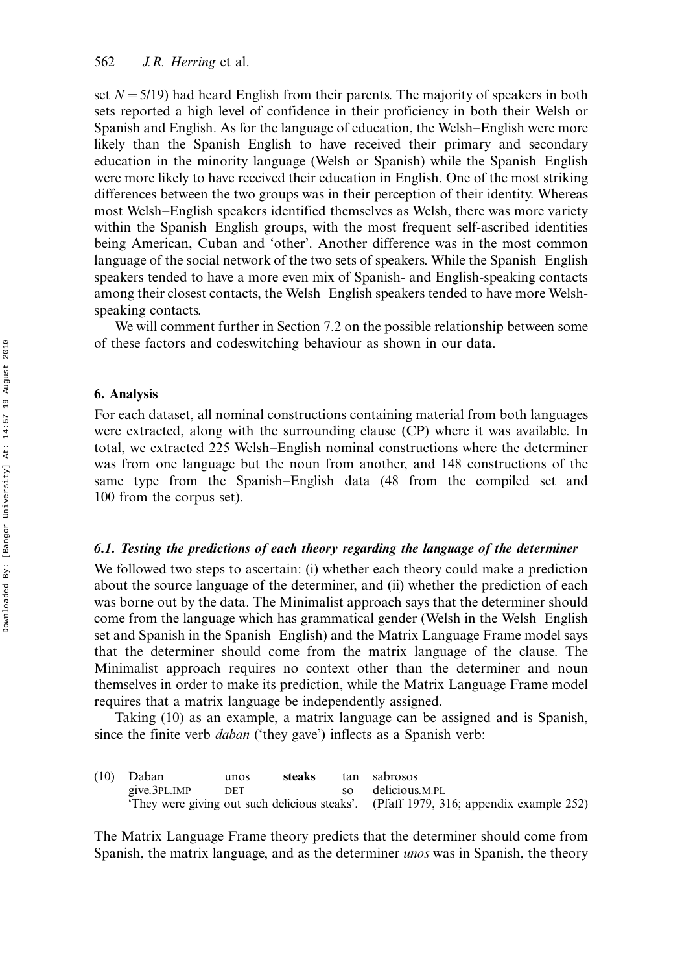set  $N=5/19$ ) had heard English from their parents. The majority of speakers in both sets reported a high level of confidence in their proficiency in both their Welsh or Spanish and English. As for the language of education, the Welsh-English were more likely than the Spanish–English to have received their primary and secondary education in the minority language (Welsh or Spanish) while the Spanish-English were more likely to have received their education in English. One of the most striking differences between the two groups was in their perception of their identity. Whereas most Welsh–English speakers identified themselves as Welsh, there was more variety within the Spanish-English groups, with the most frequent self-ascribed identities being American, Cuban and 'other'. Another difference was in the most common language of the social network of the two sets of speakers. While the Spanish–English speakers tended to have a more even mix of Spanish- and English-speaking contacts among their closest contacts, the Welsh-English speakers tended to have more Welshspeaking contacts.

We will comment further in Section 7.2 on the possible relationship between some of these factors and codeswitching behaviour as shown in our data.

#### 6. Analysis

For each dataset, all nominal constructions containing material from both languages were extracted, along with the surrounding clause (CP) where it was available. In total, we extracted 225 Welsh-English nominal constructions where the determiner was from one language but the noun from another, and 148 constructions of the same type from the Spanish-English data (48 from the compiled set and 100 from the corpus set).

#### 6.1. Testing the predictions of each theory regarding the language of the determiner

We followed two steps to ascertain: (i) whether each theory could make a prediction about the source language of the determiner, and (ii) whether the prediction of each was borne out by the data. The Minimalist approach says that the determiner should come from the language which has grammatical gender (Welsh in the Welsh–English set and Spanish in the Spanish–English) and the Matrix Language Frame model says that the determiner should come from the matrix language of the clause. The Minimalist approach requires no context other than the determiner and noun themselves in order to make its prediction, while the Matrix Language Frame model requires that a matrix language be independently assigned.

Taking (10) as an example, a matrix language can be assigned and is Spanish, since the finite verb *daban* ('they gave') inflects as a Spanish verb:

| (10) Daban   | unos       | steaks | tan sabrosos                                                                         |
|--------------|------------|--------|--------------------------------------------------------------------------------------|
| give.3PL.IMP | <b>DET</b> |        | so delicious.M.PL                                                                    |
|              |            |        | They were giving out such delicious steaks'. (Pfaff 1979, 316; appendix example 252) |

The Matrix Language Frame theory predicts that the determiner should come from Spanish, the matrix language, and as the determiner unos was in Spanish, the theory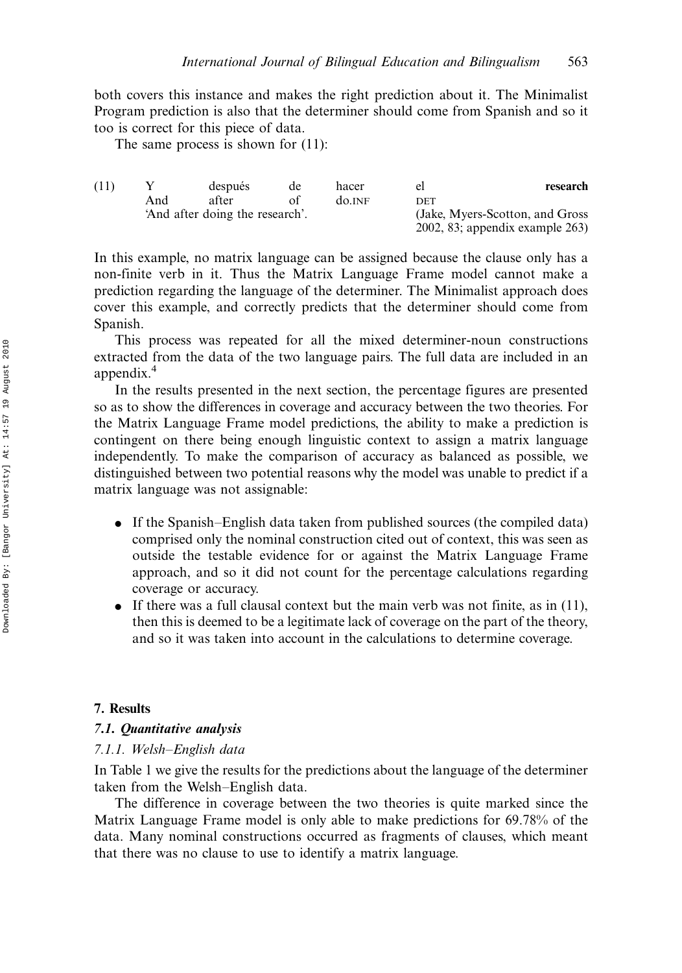both covers this instance and makes the right prediction about it. The Minimalist Program prediction is also that the determiner should come from Spanish and so it too is correct for this piece of data.

The same process is shown for (11):

| research                              | el         | hacer                           | de | después |     | (11) |  |  |
|---------------------------------------|------------|---------------------------------|----|---------|-----|------|--|--|
|                                       | <b>DET</b> | do.INF                          |    | after   | And |      |  |  |
| (Jake, Myers-Scotton, and Gross)      |            | 'And after doing the research'. |    |         |     |      |  |  |
| $2002$ , 83; appendix example $263$ ) |            |                                 |    |         |     |      |  |  |

In this example, no matrix language can be assigned because the clause only has a non-finite verb in it. Thus the Matrix Language Frame model cannot make a prediction regarding the language of the determiner. The Minimalist approach does cover this example, and correctly predicts that the determiner should come from Spanish.

This process was repeated for all the mixed determiner-noun constructions extracted from the data of the two language pairs. The full data are included in an appendix.<sup>4</sup>

In the results presented in the next section, the percentage figures are presented so as to show the differences in coverage and accuracy between the two theories. For the Matrix Language Frame model predictions, the ability to make a prediction is contingent on there being enough linguistic context to assign a matrix language independently. To make the comparison of accuracy as balanced as possible, we distinguished between two potential reasons why the model was unable to predict if a matrix language was not assignable:

- If the Spanish–English data taken from published sources (the compiled data) comprised only the nominal construction cited out of context, this was seen as outside the testable evidence for or against the Matrix Language Frame approach, and so it did not count for the percentage calculations regarding coverage or accuracy.
- If there was a full clausal context but the main verb was not finite, as in  $(11)$ , then this is deemed to be a legitimate lack of coverage on the part of the theory, and so it was taken into account in the calculations to determine coverage.

### 7. Results

## 7.1. Quantitative analysis

#### 7.1.1. Welsh-English data

In Table 1 we give the results for the predictions about the language of the determiner taken from the Welsh-English data.

The difference in coverage between the two theories is quite marked since the Matrix Language Frame model is only able to make predictions for 69.78% of the data. Many nominal constructions occurred as fragments of clauses, which meant that there was no clause to use to identify a matrix language.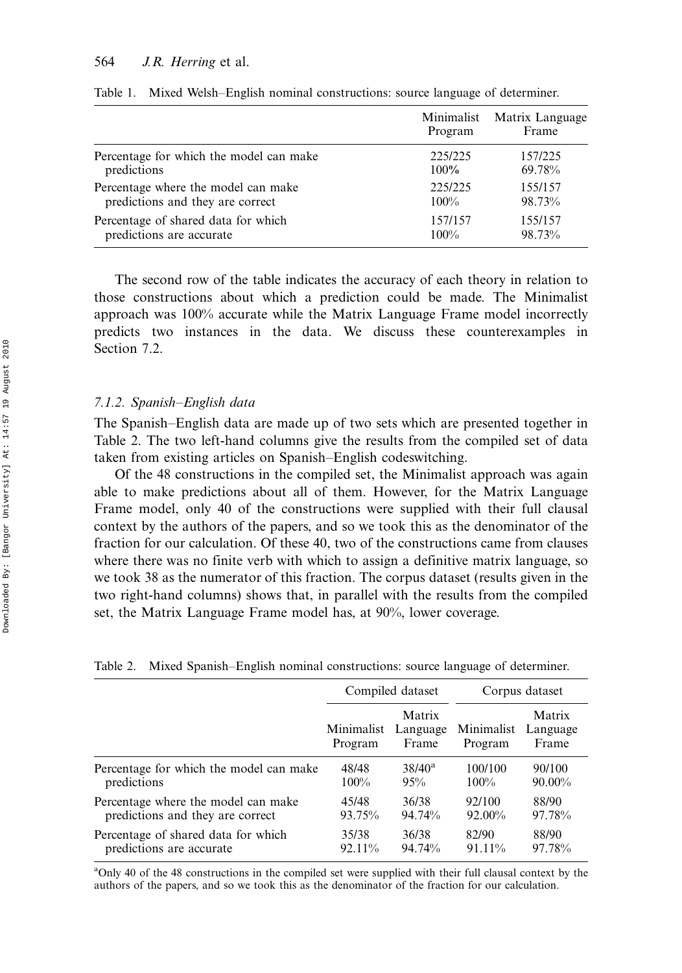|                                         | Minimalist<br>Program | Matrix Language<br>Frame |
|-----------------------------------------|-----------------------|--------------------------|
| Percentage for which the model can make | 225/225               | 157/225                  |
| predictions                             | $100\%$               | 69.78%                   |
| Percentage where the model can make     | 225/225               | 155/157                  |
| predictions and they are correct        | 100%                  | 98.73%                   |
| Percentage of shared data for which     | 157/157               | 155/157                  |
| predictions are accurate                | $100\%$               | 98.73%                   |

Table 1. Mixed Welsh-English nominal constructions: source language of determiner.

The second row of the table indicates the accuracy of each theory in relation to those constructions about which a prediction could be made. The Minimalist approach was 100% accurate while the Matrix Language Frame model incorrectly predicts two instances in the data. We discuss these counterexamples in Section 7.2.

#### 7.1.2. Spanish-English data

The Spanish-English data are made up of two sets which are presented together in Table 2. The two left-hand columns give the results from the compiled set of data taken from existing articles on Spanish–English codeswitching.

Of the 48 constructions in the compiled set, the Minimalist approach was again able to make predictions about all of them. However, for the Matrix Language Frame model, only 40 of the constructions were supplied with their full clausal context by the authors of the papers, and so we took this as the denominator of the fraction for our calculation. Of these 40, two of the constructions came from clauses where there was no finite verb with which to assign a definitive matrix language, so we took 38 as the numerator of this fraction. The corpus dataset (results given in the two right-hand columns) shows that, in parallel with the results from the compiled set, the Matrix Language Frame model has, at 90%, lower coverage.

| Table 2. Mixed Spanish–English nominal constructions: source language of determiner |  |  |  |  |
|-------------------------------------------------------------------------------------|--|--|--|--|
|-------------------------------------------------------------------------------------|--|--|--|--|

|                                         | Compiled dataset      |                             | Corpus dataset        |                             |
|-----------------------------------------|-----------------------|-----------------------------|-----------------------|-----------------------------|
|                                         | Minimalist<br>Program | Matrix<br>Language<br>Frame | Minimalist<br>Program | Matrix<br>Language<br>Frame |
| Percentage for which the model can make | 48/48                 | $38/40^a$                   | 100/100               | 90/100                      |
| predictions                             | 100%                  | 95%                         | $100\%$               | $90.00\%$                   |
| Percentage where the model can make     | 45/48                 | 36/38                       | 92/100                | 88/90                       |
| predictions and they are correct        | 93.75%                | 94.74%                      | $92.00\%$             | 97.78%                      |
| Percentage of shared data for which     | 35/38                 | 36/38                       | 82/90                 | 88/90                       |
| predictions are accurate                | 92.11%                | 94.74%                      | 91.11%                | 97.78%                      |

<sup>a</sup>Only 40 of the 48 constructions in the compiled set were supplied with their full clausal context by the authors of the papers, and so we took this as the denominator of the fraction for our calculation.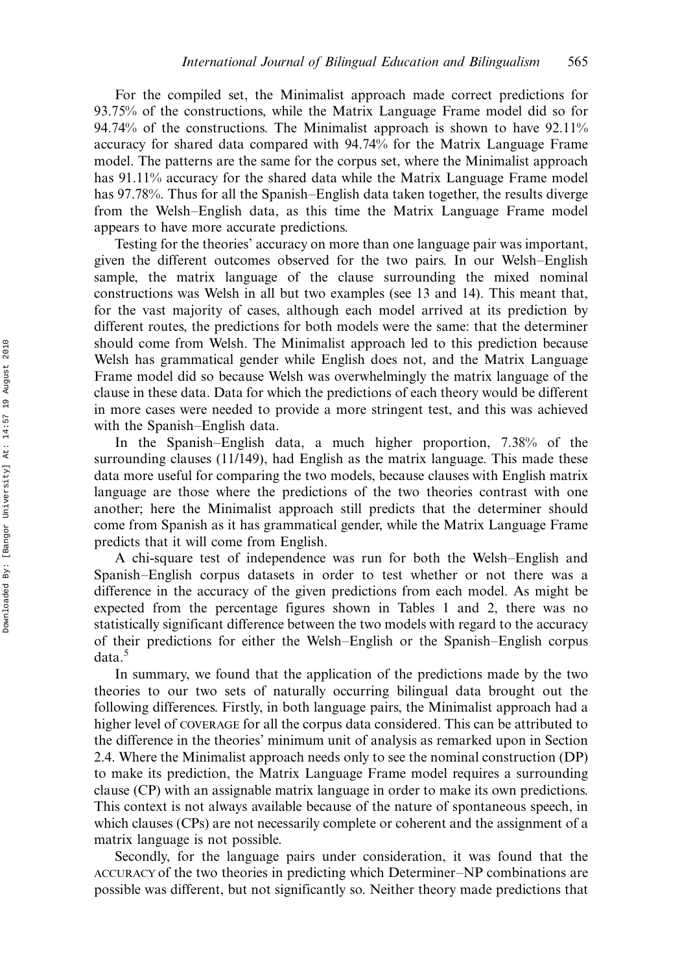For the compiled set, the Minimalist approach made correct predictions for 93.75% of the constructions, while the Matrix Language Frame model did so for 94.74% of the constructions. The Minimalist approach is shown to have 92.11% accuracy for shared data compared with 94.74% for the Matrix Language Frame model. The patterns are the same for the corpus set, where the Minimalist approach has 91.11% accuracy for the shared data while the Matrix Language Frame model has 97.78%. Thus for all the Spanish–English data taken together, the results diverge from the Welsh-English data, as this time the Matrix Language Frame model appears to have more accurate predictions.

Testing for the theories' accuracy on more than one language pair was important, given the different outcomes observed for the two pairs. In our Welsh-English sample, the matrix language of the clause surrounding the mixed nominal constructions was Welsh in all but two examples (see 13 and 14). This meant that, for the vast majority of cases, although each model arrived at its prediction by different routes, the predictions for both models were the same: that the determiner should come from Welsh. The Minimalist approach led to this prediction because Welsh has grammatical gender while English does not, and the Matrix Language Frame model did so because Welsh was overwhelmingly the matrix language of the clause in these data. Data for which the predictions of each theory would be different in more cases were needed to provide a more stringent test, and this was achieved with the Spanish-English data.

In the Spanish–English data, a much higher proportion,  $7.38\%$  of the surrounding clauses (11/149), had English as the matrix language. This made these data more useful for comparing the two models, because clauses with English matrix language are those where the predictions of the two theories contrast with one another; here the Minimalist approach still predicts that the determiner should come from Spanish as it has grammatical gender, while the Matrix Language Frame predicts that it will come from English.

A chi-square test of independence was run for both the Welsh-English and Spanish–English corpus datasets in order to test whether or not there was a difference in the accuracy of the given predictions from each model. As might be expected from the percentage figures shown in Tables 1 and 2, there was no statistically significant difference between the two models with regard to the accuracy of their predictions for either the Welsh-English or the Spanish-English corpus data.<sup>5</sup>

In summary, we found that the application of the predictions made by the two theories to our two sets of naturally occurring bilingual data brought out the following differences. Firstly, in both language pairs, the Minimalist approach had a higher level of COVERAGE for all the corpus data considered. This can be attributed to the difference in the theories' minimum unit of analysis as remarked upon in Section 2.4. Where the Minimalist approach needs only to see the nominal construction (DP) to make its prediction, the Matrix Language Frame model requires a surrounding clause (CP) with an assignable matrix language in order to make its own predictions. This context is not always available because of the nature of spontaneous speech, in which clauses (CPs) are not necessarily complete or coherent and the assignment of a matrix language is not possible.

Secondly, for the language pairs under consideration, it was found that the ACCURACY of the two theories in predicting which Determiner–NP combinations are possible was different, but not significantly so. Neither theory made predictions that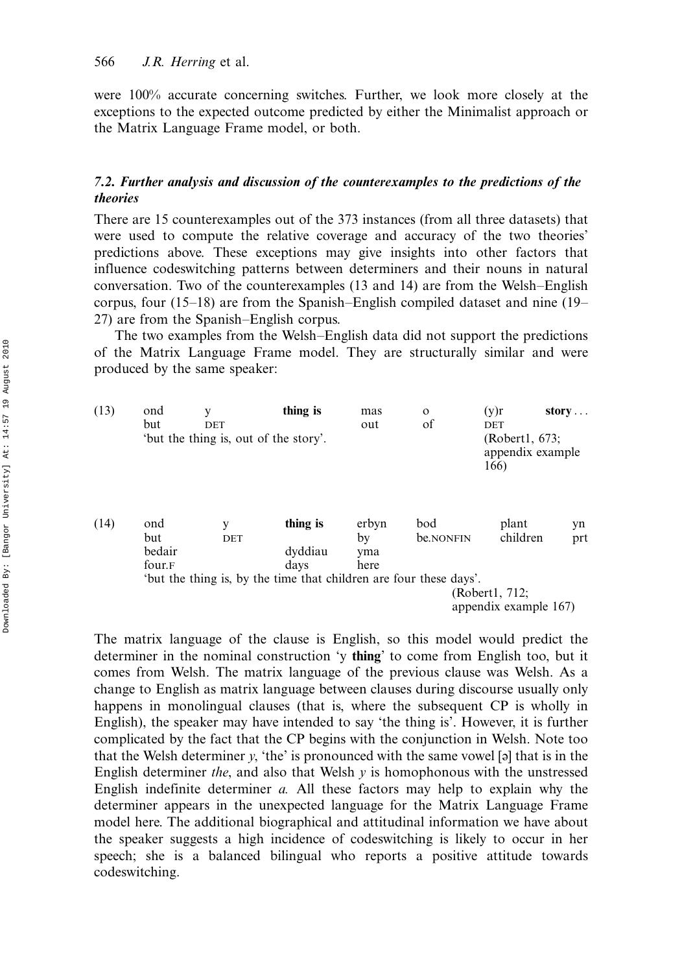were 100% accurate concerning switches. Further, we look more closely at the exceptions to the expected outcome predicted by either the Minimalist approach or the Matrix Language Frame model, or both.

# 7.2. Further analysis and discussion of the counterexamples to the predictions of the theories

There are 15 counterexamples out of the 373 instances (from all three datasets) that were used to compute the relative coverage and accuracy of the two theories' predictions above. These exceptions may give insights into other factors that influence codeswitching patterns between determiners and their nouns in natural conversation. Two of the counterexamples  $(13 \text{ and } 14)$  are from the Welsh-English corpus, four  $(15-18)$  are from the Spanish-English compiled dataset and nine  $(19-$ 27) are from the Spanish-English corpus.

The two examples from the Welsh-English data did not support the predictions of the Matrix Language Frame model. They are structurally similar and were produced by the same speaker:

| (13) | ond<br>but                     | у<br>DET<br>'but the thing is, out of the story'. | thing is                                                           | mas<br>out                 | $\mathbf{o}$<br>of | (y)r<br><b>DET</b><br>(Robert1, 673;<br>appendix example<br>166) | story     |
|------|--------------------------------|---------------------------------------------------|--------------------------------------------------------------------|----------------------------|--------------------|------------------------------------------------------------------|-----------|
| (14) | ond<br>but<br>bedair<br>four.F | y<br>DET                                          | thing is<br>dyddiau<br>days                                        | erbyn<br>by<br>yma<br>here | bod<br>be.NONFIN   | plant<br>children                                                | yn<br>prt |
|      |                                |                                                   | 'but the thing is, by the time that children are four these days'. |                            |                    | (Robert1, 712;<br>appendix example 167)                          |           |

The matrix language of the clause is English, so this model would predict the determiner in the nominal construction 'y thing' to come from English too, but it comes from Welsh. The matrix language of the previous clause was Welsh. As a change to English as matrix language between clauses during discourse usually only happens in monolingual clauses (that is, where the subsequent CP is wholly in English), the speaker may have intended to say 'the thing is'. However, it is further complicated by the fact that the CP begins with the conjunction in Welsh. Note too that the Welsh determiner  $y$ , 'the' is pronounced with the same vowel [a] that is in the English determiner the, and also that Welsh  $y$  is homophonous with the unstressed English indefinite determiner a. All these factors may help to explain why the determiner appears in the unexpected language for the Matrix Language Frame model here. The additional biographical and attitudinal information we have about the speaker suggests a high incidence of codeswitching is likely to occur in her speech; she is a balanced bilingual who reports a positive attitude towards codeswitching.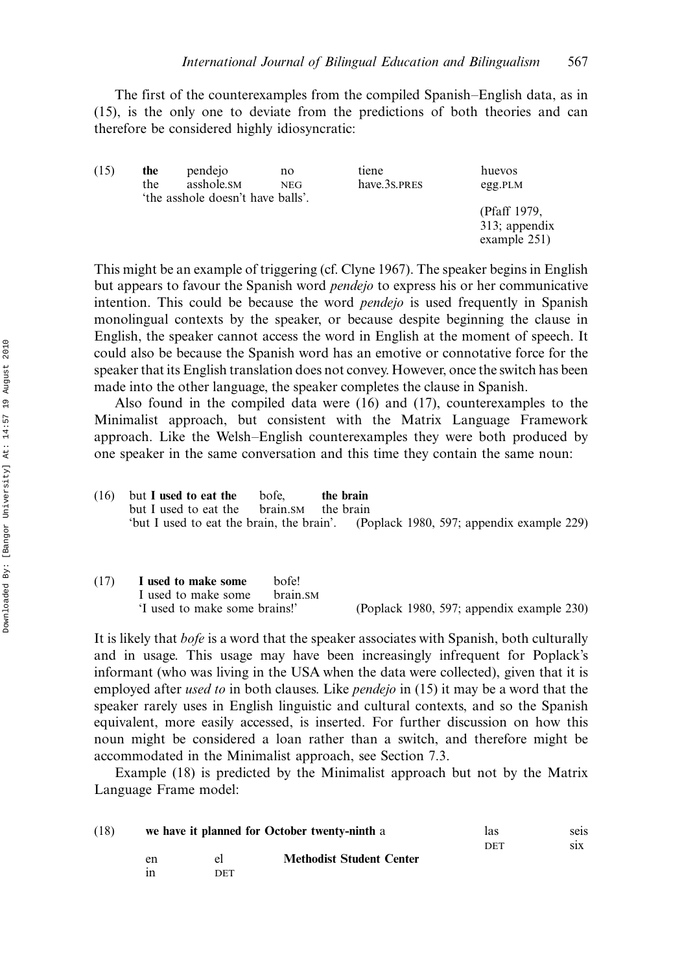The first of the counterexamples from the compiled Spanish-English data, as in (15), is the only one to deviate from the predictions of both theories and can therefore be considered highly idiosyncratic:

| (15) | the | pendejo                          | no         | tiene        | huevos                                           |
|------|-----|----------------------------------|------------|--------------|--------------------------------------------------|
|      | the | asshole.sm                       | <b>NEG</b> | have.3s.PRES | egg.PLM                                          |
|      |     | the asshole doesn't have balls'. |            |              | (Pfaff 1979,<br>313; appendix<br>example $251$ ) |

This might be an example of triggering (cf. Clyne 1967). The speaker begins in English but appears to favour the Spanish word pendejo to express his or her communicative intention. This could be because the word *pendejo* is used frequently in Spanish monolingual contexts by the speaker, or because despite beginning the clause in English, the speaker cannot access the word in English at the moment of speech. It could also be because the Spanish word has an emotive or connotative force for the speaker that its English translation does not convey. However, once the switch has been made into the other language, the speaker completes the clause in Spanish.

Also found in the compiled data were (16) and (17), counterexamples to the Minimalist approach, but consistent with the Matrix Language Framework approach. Like the Welsh-English counterexamples they were both produced by one speaker in the same conversation and this time they contain the same noun:

| (16) | but I used to eat the                                                               | bofe. | the brain |  |  |
|------|-------------------------------------------------------------------------------------|-------|-----------|--|--|
|      | but I used to eat the brain. SM the brain                                           |       |           |  |  |
|      | 'but I used to eat the brain, the brain'. (Poplack 1980, 597; appendix example 229) |       |           |  |  |

| (17) | I used to make some           | bofe!    |                                           |
|------|-------------------------------|----------|-------------------------------------------|
|      | I used to make some           | brain SM |                                           |
|      | 'I used to make some brains!' |          | (Poplack 1980, 597; appendix example 230) |

It is likely that bofe is a word that the speaker associates with Spanish, both culturally and in usage. This usage may have been increasingly infrequent for Poplack's informant (who was living in the USA when the data were collected), given that it is employed after *used to* in both clauses. Like *pendejo* in (15) it may be a word that the speaker rarely uses in English linguistic and cultural contexts, and so the Spanish equivalent, more easily accessed, is inserted. For further discussion on how this noun might be considered a loan rather than a switch, and therefore might be accommodated in the Minimalist approach, see Section 7.3.

Example (18) is predicted by the Minimalist approach but not by the Matrix Language Frame model:

| (18) |    | we have it planned for October twenty-ninth a | las                             | seis |     |
|------|----|-----------------------------------------------|---------------------------------|------|-----|
|      |    |                                               |                                 | DET  | S1X |
|      | en | el                                            | <b>Methodist Student Center</b> |      |     |
|      | ın | DET                                           |                                 |      |     |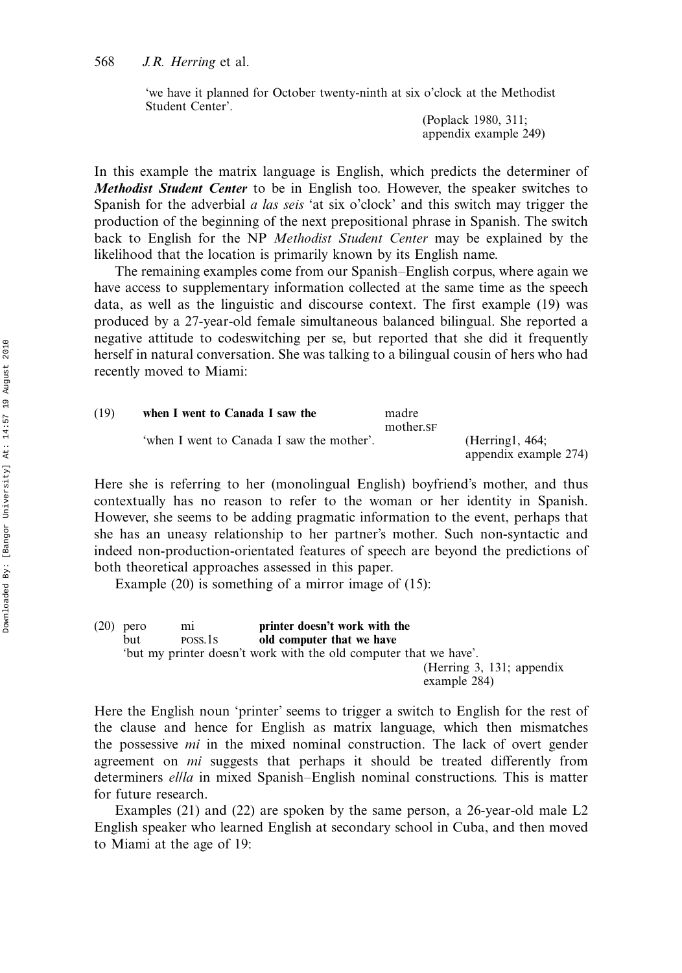## 568 J.R. Herring et al.

'we have it planned for October twenty-ninth at six o'clock at the Methodist Student Center'.

> (Poplack 1980, 311; appendix example 249)

In this example the matrix language is English, which predicts the determiner of Methodist Student Center to be in English too. However, the speaker switches to Spanish for the adverbial *a las seis* 'at six o'clock' and this switch may trigger the production of the beginning of the next prepositional phrase in Spanish. The switch back to English for the NP Methodist Student Center may be explained by the likelihood that the location is primarily known by its English name.

The remaining examples come from our Spanish-English corpus, where again we have access to supplementary information collected at the same time as the speech data, as well as the linguistic and discourse context. The first example (19) was produced by a 27-year-old female simultaneous balanced bilingual. She reported a negative attitude to codeswitching per se, but reported that she did it frequently herself in natural conversation. She was talking to a bilingual cousin of hers who had recently moved to Miami:

| (19) | when I went to Canada I saw the           | madre<br>mother.SF |                                           |
|------|-------------------------------------------|--------------------|-------------------------------------------|
|      | 'when I went to Canada I saw the mother'. |                    | (Herring 1, 464;<br>appendix example 274) |

Here she is referring to her (monolingual English) boyfriend's mother, and thus contextually has no reason to refer to the woman or her identity in Spanish. However, she seems to be adding pragmatic information to the event, perhaps that she has an uneasy relationship to her partner's mother. Such non-syntactic and indeed non-production-orientated features of speech are beyond the predictions of both theoretical approaches assessed in this paper.

Example (20) is something of a mirror image of (15):

(20) pero mi printer doesn't work with the but POSS.1S old computer that we have 'but my printer doesn't work with the old computer that we have'. (Herring 3, 131; appendix example 284)

Here the English noun 'printer' seems to trigger a switch to English for the rest of the clause and hence for English as matrix language, which then mismatches the possessive mi in the mixed nominal construction. The lack of overt gender agreement on *mi* suggests that perhaps it should be treated differently from determiners ellla in mixed Spanish-English nominal constructions. This is matter for future research.

Examples (21) and (22) are spoken by the same person, a 26-year-old male L2 English speaker who learned English at secondary school in Cuba, and then moved to Miami at the age of 19: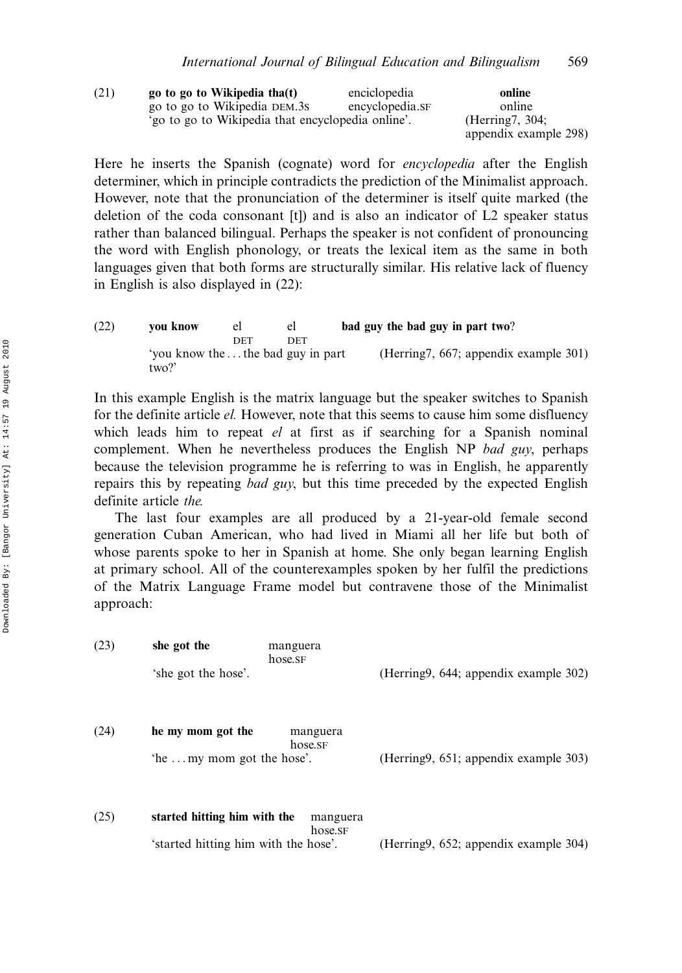| (21) | go to go to Wikipedia tha(t)                      | enciclopedia    | online                |
|------|---------------------------------------------------|-----------------|-----------------------|
|      | go to go to Wikipedia DEM.3s                      | encyclopedia.sF | online                |
|      | 'go to go to Wikipedia that encyclopedia online'. |                 | (Herring7, 304;       |
|      |                                                   |                 | appendix example 298) |

Here he inserts the Spanish (cognate) word for encyclopedia after the English determiner, which in principle contradicts the prediction of the Minimalist approach. However, note that the pronunciation of the determiner is itself quite marked (the deletion of the coda consonant [t]) and is also an indicator of L2 speaker status rather than balanced bilingual. Perhaps the speaker is not confident of pronouncing the word with English phonology, or treats the lexical item as the same in both languages given that both forms are structurally similar. His relative lack of fluency in English is also displayed in (22):

(22) you know el el bad guy the bad guy in part two? DET DET 'you know the ...the bad guy in part two?' (Herring7, 667; appendix example 301)

In this example English is the matrix language but the speaker switches to Spanish for the definite article el. However, note that this seems to cause him some disfluency which leads him to repeat *el* at first as if searching for a Spanish nominal complement. When he nevertheless produces the English NP bad guy, perhaps because the television programme he is referring to was in English, he apparently repairs this by repeating *bad guy*, but this time preceded by the expected English definite article the.

The last four examples are all produced by a 21-year-old female second generation Cuban American, who had lived in Miami all her life but both of whose parents spoke to her in Spanish at home. She only began learning English at primary school. All of the counterexamples spoken by her fulfil the predictions of the Matrix Language Frame model but contravene those of the Minimalist approach:

| (23) | she got the<br>manguera<br>hose.sF                  |                                        |
|------|-----------------------------------------------------|----------------------------------------|
|      | 'she got the hose'.                                 | (Herring9, 644; appendix example 302)  |
| (24) | he my mom got the<br>manguera<br>hose.SF            |                                        |
|      | 'he  my mom got the hose'.                          | (Herring9, 651; appendix example 303)  |
| (25) | started hitting him with the<br>manguera<br>hose.SF |                                        |
|      | 'started hitting him with the hose'.                | (Herring 9, 652; appendix example 304) |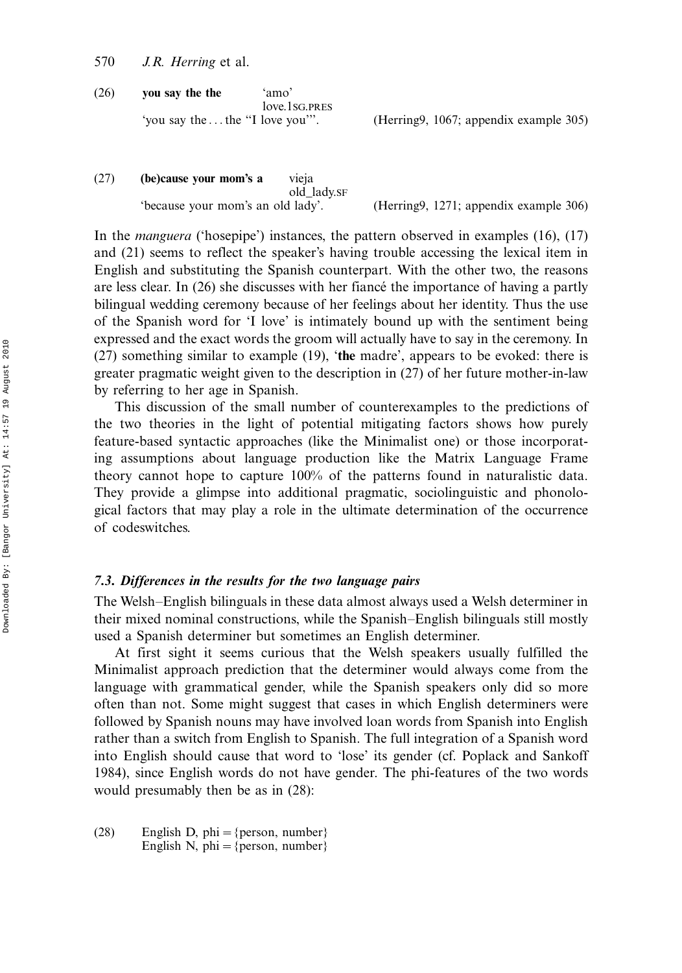- 570 J.R. Herring et al.
- (26) you say the the 'amo' love.1sG.PRES<br>'you say the...the "I love you"'.

(Herring9, 1067; appendix example 305)

(27) (be)cause your mom's a vieja old\_lady.SF 'because your mom's an old lady'. (Herring9, 1271; appendix example 306)

In the manguera ('hosepipe') instances, the pattern observed in examples (16), (17) and (21) seems to reflect the speaker's having trouble accessing the lexical item in English and substituting the Spanish counterpart. With the other two, the reasons are less clear. In  $(26)$  she discusses with her fiance the importance of having a partly bilingual wedding ceremony because of her feelings about her identity. Thus the use of the Spanish word for 'I love' is intimately bound up with the sentiment being expressed and the exact words the groom will actually have to say in the ceremony. In (27) something similar to example (19), 'the madre', appears to be evoked: there is greater pragmatic weight given to the description in (27) of her future mother-in-law by referring to her age in Spanish.

This discussion of the small number of counterexamples to the predictions of the two theories in the light of potential mitigating factors shows how purely feature-based syntactic approaches (like the Minimalist one) or those incorporating assumptions about language production like the Matrix Language Frame theory cannot hope to capture 100% of the patterns found in naturalistic data. They provide a glimpse into additional pragmatic, sociolinguistic and phonological factors that may play a role in the ultimate determination of the occurrence of codeswitches.

# 7.3. Differences in the results for the two language pairs

The Welsh–English bilinguals in these data almost always used a Welsh determiner in their mixed nominal constructions, while the Spanish–English bilinguals still mostly used a Spanish determiner but sometimes an English determiner.

At first sight it seems curious that the Welsh speakers usually fulfilled the Minimalist approach prediction that the determiner would always come from the language with grammatical gender, while the Spanish speakers only did so more often than not. Some might suggest that cases in which English determiners were followed by Spanish nouns may have involved loan words from Spanish into English rather than a switch from English to Spanish. The full integration of a Spanish word into English should cause that word to 'lose' its gender (cf. Poplack and Sankoff 1984), since English words do not have gender. The phi-features of the two words would presumably then be as in (28):

(28) English D, phi = {person, number} English N, phi = {person, number}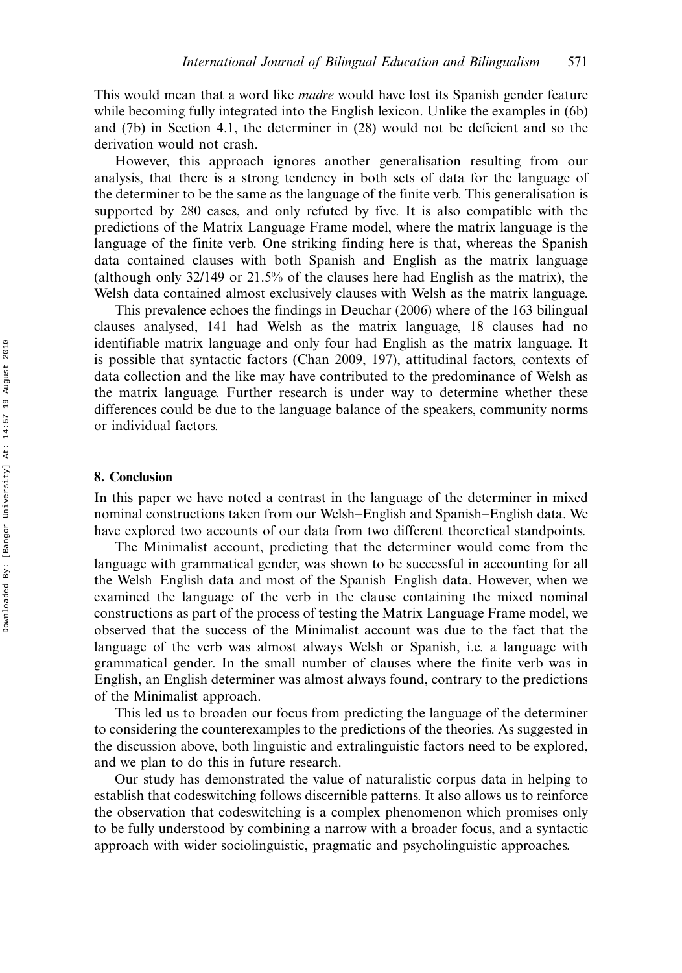This would mean that a word like *madre* would have lost its Spanish gender feature while becoming fully integrated into the English lexicon. Unlike the examples in (6b) and (7b) in Section 4.1, the determiner in (28) would not be deficient and so the derivation would not crash.

However, this approach ignores another generalisation resulting from our analysis, that there is a strong tendency in both sets of data for the language of the determiner to be the same as the language of the finite verb. This generalisation is supported by 280 cases, and only refuted by five. It is also compatible with the predictions of the Matrix Language Frame model, where the matrix language is the language of the finite verb. One striking finding here is that, whereas the Spanish data contained clauses with both Spanish and English as the matrix language (although only 32/149 or 21.5% of the clauses here had English as the matrix), the Welsh data contained almost exclusively clauses with Welsh as the matrix language.

This prevalence echoes the findings in Deuchar (2006) where of the 163 bilingual clauses analysed, 141 had Welsh as the matrix language, 18 clauses had no identifiable matrix language and only four had English as the matrix language. It is possible that syntactic factors (Chan 2009, 197), attitudinal factors, contexts of data collection and the like may have contributed to the predominance of Welsh as the matrix language. Further research is under way to determine whether these differences could be due to the language balance of the speakers, community norms or individual factors.

# 8. Conclusion

In this paper we have noted a contrast in the language of the determiner in mixed nominal constructions taken from our Welsh–English and Spanish–English data. We have explored two accounts of our data from two different theoretical standpoints.

The Minimalist account, predicting that the determiner would come from the language with grammatical gender, was shown to be successful in accounting for all the Welsh-English data and most of the Spanish-English data. However, when we examined the language of the verb in the clause containing the mixed nominal constructions as part of the process of testing the Matrix Language Frame model, we observed that the success of the Minimalist account was due to the fact that the language of the verb was almost always Welsh or Spanish, i.e. a language with grammatical gender. In the small number of clauses where the finite verb was in English, an English determiner was almost always found, contrary to the predictions of the Minimalist approach.

This led us to broaden our focus from predicting the language of the determiner to considering the counterexamples to the predictions of the theories. As suggested in the discussion above, both linguistic and extralinguistic factors need to be explored, and we plan to do this in future research.

Our study has demonstrated the value of naturalistic corpus data in helping to establish that codeswitching follows discernible patterns. It also allows us to reinforce the observation that codeswitching is a complex phenomenon which promises only to be fully understood by combining a narrow with a broader focus, and a syntactic approach with wider sociolinguistic, pragmatic and psycholinguistic approaches.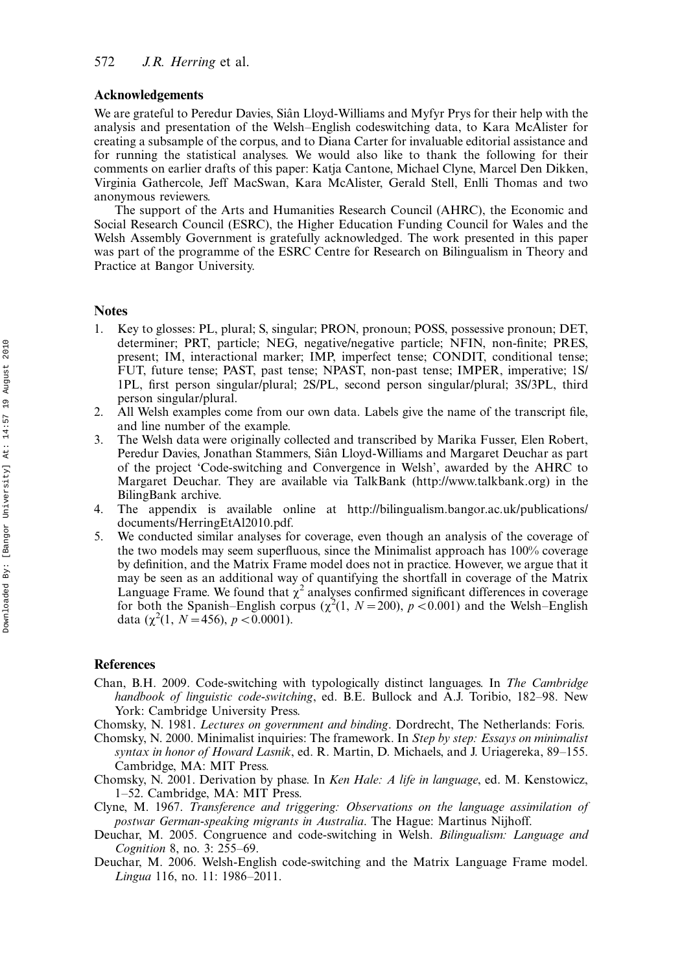## Acknowledgements

We are grateful to Peredur Davies, Siân Lloyd-Williams and Myfyr Prys for their help with the analysis and presentation of the Welsh-English codeswitching data, to Kara McAlister for creating a subsample of the corpus, and to Diana Carter for invaluable editorial assistance and for running the statistical analyses. We would also like to thank the following for their comments on earlier drafts of this paper: Katja Cantone, Michael Clyne, Marcel Den Dikken, Virginia Gathercole, Jeff MacSwan, Kara McAlister, Gerald Stell, Enlli Thomas and two anonymous reviewers.

The support of the Arts and Humanities Research Council (AHRC), the Economic and Social Research Council (ESRC), the Higher Education Funding Council for Wales and the Welsh Assembly Government is gratefully acknowledged. The work presented in this paper was part of the programme of the ESRC Centre for Research on Bilingualism in Theory and Practice at Bangor University.

#### Notes

- 1. Key to glosses: PL, plural; S, singular; PRON, pronoun; POSS, possessive pronoun; DET, determiner; PRT, particle; NEG, negative/negative particle; NFIN, non-finite; PRES, present; IM, interactional marker; IMP, imperfect tense; CONDIT, conditional tense; FUT, future tense; PAST, past tense; NPAST, non-past tense; IMPER, imperative; 1S/ 1PL, first person singular/plural; 2S/PL, second person singular/plural; 3S/3PL, third person singular/plural.
- 2. All Welsh examples come from our own data. Labels give the name of the transcript file, and line number of the example.
- 3. The Welsh data were originally collected and transcribed by Marika Fusser, Elen Robert, Peredur Davies, Jonathan Stammers, Siân Lloyd-Williams and Margaret Deuchar as part of the project 'Code-switching and Convergence in Welsh', awarded by the AHRC to Margaret Deuchar. They are available via TalkBank (http://www.talkbank.org) in the BilingBank archive.
- 4. The appendix is available online at http://bilingualism.bangor.ac.uk/publications/ documents/HerringEtAl2010.pdf.
- 5. We conducted similar analyses for coverage, even though an analysis of the coverage of the two models may seem superfluous, since the Minimalist approach has 100% coverage by definition, and the Matrix Frame model does not in practice. However, we argue that it may be seen as an additional way of quantifying the shortfall in coverage of the Matrix Language Frame. We found that  $\chi^2$  analyses confirmed significant differences in coverage for both the Spanish–English corpus ( $\chi^2(1, N=200)$ ,  $p < 0.001$ ) and the Welsh–English data  $(\chi^2(1, N=456), p<0.0001)$ .

#### **References**

- Chan, B.H. 2009. Code-switching with typologically distinct languages. In The Cambridge handbook of linguistic code-switching, ed. B.E. Bullock and A.J. Toribio, 182–98. New York: Cambridge University Press.
- Chomsky, N. 1981. Lectures on government and binding. Dordrecht, The Netherlands: Foris.
- Chomsky, N. 2000. Minimalist inquiries: The framework. In Step by step: Essays on minimalist syntax in honor of Howard Lasnik, ed. R. Martin, D. Michaels, and J. Uriagereka,  $89-155$ . Cambridge, MA: MIT Press.
- Chomsky, N. 2001. Derivation by phase. In Ken Hale: A life in language, ed. M. Kenstowicz, 1-52. Cambridge, MA: MIT Press.
- Clyne, M. 1967. Transference and triggering: Observations on the language assimilation of postwar German-speaking migrants in Australia. The Hague: Martinus Nijhoff.
- Deuchar, M. 2005. Congruence and code-switching in Welsh. Bilingualism: Language and *Cognition* 8, no. 3:  $255-69$ .
- Deuchar, M. 2006. Welsh-English code-switching and the Matrix Language Frame model. Lingua 116, no. 11: 1986-2011.